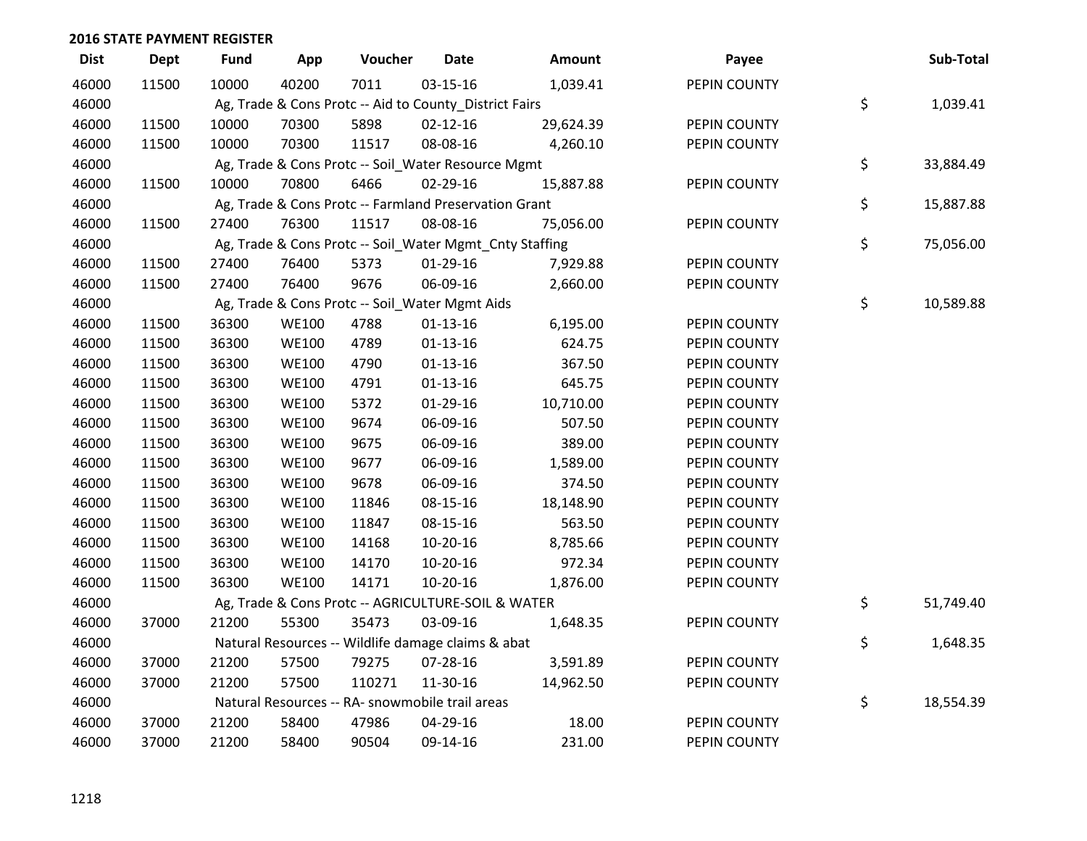| <b>Dist</b> | <b>Dept</b> | <b>Fund</b> | App          | Voucher | Date                                                    | Amount    | Payee        | Sub-Total       |
|-------------|-------------|-------------|--------------|---------|---------------------------------------------------------|-----------|--------------|-----------------|
| 46000       | 11500       | 10000       | 40200        | 7011    | 03-15-16                                                | 1,039.41  | PEPIN COUNTY |                 |
| 46000       |             |             |              |         | Ag, Trade & Cons Protc -- Aid to County_District Fairs  |           |              | \$<br>1,039.41  |
| 46000       | 11500       | 10000       | 70300        | 5898    | $02 - 12 - 16$                                          | 29,624.39 | PEPIN COUNTY |                 |
| 46000       | 11500       | 10000       | 70300        | 11517   | 08-08-16                                                | 4,260.10  | PEPIN COUNTY |                 |
| 46000       |             |             |              |         | Ag, Trade & Cons Protc -- Soil_Water Resource Mgmt      |           |              | \$<br>33,884.49 |
| 46000       | 11500       | 10000       | 70800        | 6466    | 02-29-16                                                | 15,887.88 | PEPIN COUNTY |                 |
| 46000       |             |             |              |         | Ag, Trade & Cons Protc -- Farmland Preservation Grant   |           |              | \$<br>15,887.88 |
| 46000       | 11500       | 27400       | 76300        | 11517   | 08-08-16                                                | 75,056.00 | PEPIN COUNTY |                 |
| 46000       |             |             |              |         | Ag, Trade & Cons Protc -- Soil_Water Mgmt_Cnty Staffing |           |              | \$<br>75,056.00 |
| 46000       | 11500       | 27400       | 76400        | 5373    | $01-29-16$                                              | 7,929.88  | PEPIN COUNTY |                 |
| 46000       | 11500       | 27400       | 76400        | 9676    | 06-09-16                                                | 2,660.00  | PEPIN COUNTY |                 |
| 46000       |             |             |              |         | Ag, Trade & Cons Protc -- Soil_Water Mgmt Aids          |           |              | \$<br>10,589.88 |
| 46000       | 11500       | 36300       | <b>WE100</b> | 4788    | $01 - 13 - 16$                                          | 6,195.00  | PEPIN COUNTY |                 |
| 46000       | 11500       | 36300       | <b>WE100</b> | 4789    | $01 - 13 - 16$                                          | 624.75    | PEPIN COUNTY |                 |
| 46000       | 11500       | 36300       | <b>WE100</b> | 4790    | $01 - 13 - 16$                                          | 367.50    | PEPIN COUNTY |                 |
| 46000       | 11500       | 36300       | <b>WE100</b> | 4791    | $01-13-16$                                              | 645.75    | PEPIN COUNTY |                 |
| 46000       | 11500       | 36300       | <b>WE100</b> | 5372    | 01-29-16                                                | 10,710.00 | PEPIN COUNTY |                 |
| 46000       | 11500       | 36300       | <b>WE100</b> | 9674    | 06-09-16                                                | 507.50    | PEPIN COUNTY |                 |
| 46000       | 11500       | 36300       | <b>WE100</b> | 9675    | 06-09-16                                                | 389.00    | PEPIN COUNTY |                 |
| 46000       | 11500       | 36300       | <b>WE100</b> | 9677    | 06-09-16                                                | 1,589.00  | PEPIN COUNTY |                 |
| 46000       | 11500       | 36300       | <b>WE100</b> | 9678    | 06-09-16                                                | 374.50    | PEPIN COUNTY |                 |
| 46000       | 11500       | 36300       | <b>WE100</b> | 11846   | 08-15-16                                                | 18,148.90 | PEPIN COUNTY |                 |
| 46000       | 11500       | 36300       | <b>WE100</b> | 11847   | 08-15-16                                                | 563.50    | PEPIN COUNTY |                 |
| 46000       | 11500       | 36300       | <b>WE100</b> | 14168   | 10-20-16                                                | 8,785.66  | PEPIN COUNTY |                 |
| 46000       | 11500       | 36300       | <b>WE100</b> | 14170   | 10-20-16                                                | 972.34    | PEPIN COUNTY |                 |
| 46000       | 11500       | 36300       | <b>WE100</b> | 14171   | 10-20-16                                                | 1,876.00  | PEPIN COUNTY |                 |
| 46000       |             |             |              |         | Ag, Trade & Cons Protc -- AGRICULTURE-SOIL & WATER      |           |              | \$<br>51,749.40 |
| 46000       | 37000       | 21200       | 55300        | 35473   | 03-09-16                                                | 1,648.35  | PEPIN COUNTY |                 |
| 46000       |             |             |              |         | Natural Resources -- Wildlife damage claims & abat      |           |              | \$<br>1,648.35  |
| 46000       | 37000       | 21200       | 57500        | 79275   | 07-28-16                                                | 3,591.89  | PEPIN COUNTY |                 |
| 46000       | 37000       | 21200       | 57500        | 110271  | 11-30-16                                                | 14,962.50 | PEPIN COUNTY |                 |
| 46000       |             |             |              |         | Natural Resources -- RA- snowmobile trail areas         |           |              | \$<br>18,554.39 |
| 46000       | 37000       | 21200       | 58400        | 47986   | 04-29-16                                                | 18.00     | PEPIN COUNTY |                 |
| 46000       | 37000       | 21200       | 58400        | 90504   | 09-14-16                                                | 231.00    | PEPIN COUNTY |                 |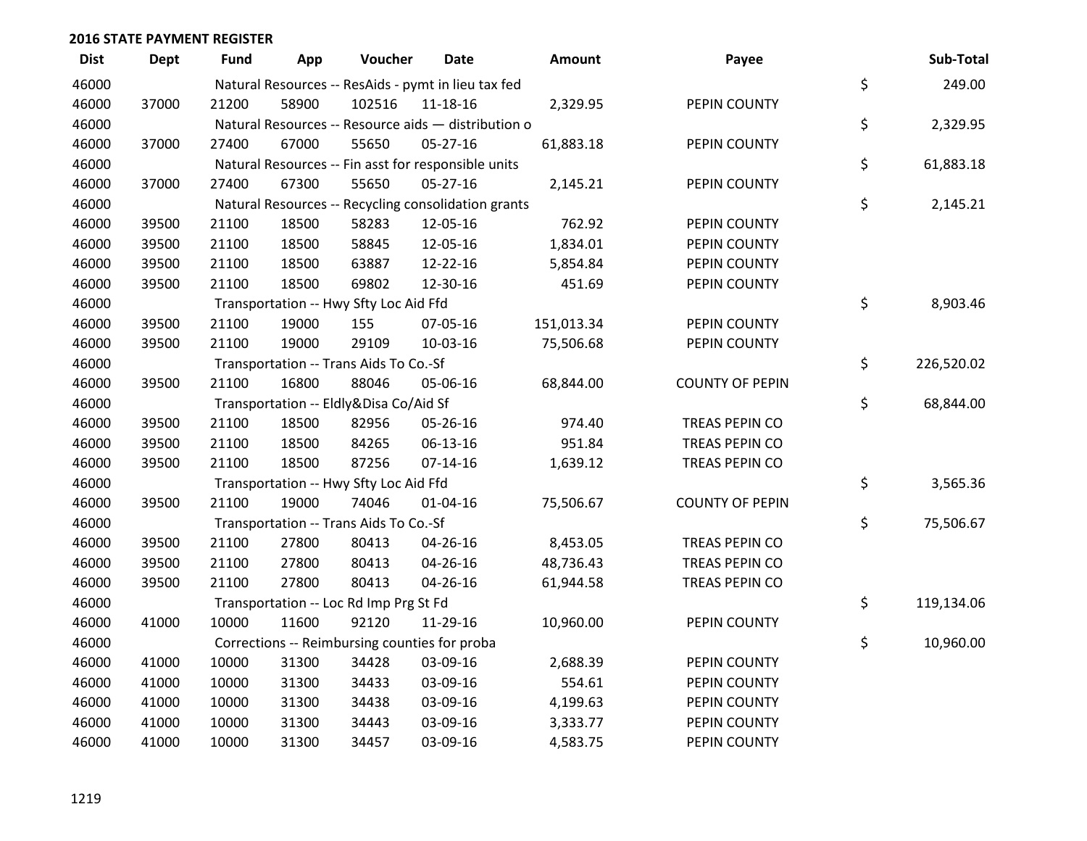| <b>Dist</b> | <b>Dept</b> | Fund  | App   | Voucher                                | <b>Date</b>                                         | <b>Amount</b> | Payee                  | Sub-Total        |
|-------------|-------------|-------|-------|----------------------------------------|-----------------------------------------------------|---------------|------------------------|------------------|
| 46000       |             |       |       |                                        | Natural Resources -- ResAids - pymt in lieu tax fed |               |                        | \$<br>249.00     |
| 46000       | 37000       | 21200 | 58900 | 102516                                 | $11 - 18 - 16$                                      | 2,329.95      | PEPIN COUNTY           |                  |
| 46000       |             |       |       |                                        | Natural Resources -- Resource aids - distribution o |               |                        | \$<br>2,329.95   |
| 46000       | 37000       | 27400 | 67000 | 55650                                  | 05-27-16                                            | 61,883.18     | PEPIN COUNTY           |                  |
| 46000       |             |       |       |                                        | Natural Resources -- Fin asst for responsible units |               |                        | \$<br>61,883.18  |
| 46000       | 37000       | 27400 | 67300 | 55650                                  | 05-27-16                                            | 2,145.21      | PEPIN COUNTY           |                  |
| 46000       |             |       |       |                                        | Natural Resources -- Recycling consolidation grants |               |                        | \$<br>2,145.21   |
| 46000       | 39500       | 21100 | 18500 | 58283                                  | 12-05-16                                            | 762.92        | PEPIN COUNTY           |                  |
| 46000       | 39500       | 21100 | 18500 | 58845                                  | 12-05-16                                            | 1,834.01      | PEPIN COUNTY           |                  |
| 46000       | 39500       | 21100 | 18500 | 63887                                  | 12-22-16                                            | 5,854.84      | PEPIN COUNTY           |                  |
| 46000       | 39500       | 21100 | 18500 | 69802                                  | 12-30-16                                            | 451.69        | PEPIN COUNTY           |                  |
| 46000       |             |       |       | Transportation -- Hwy Sfty Loc Aid Ffd |                                                     |               |                        | \$<br>8,903.46   |
| 46000       | 39500       | 21100 | 19000 | 155                                    | 07-05-16                                            | 151,013.34    | PEPIN COUNTY           |                  |
| 46000       | 39500       | 21100 | 19000 | 29109                                  | 10-03-16                                            | 75,506.68     | PEPIN COUNTY           |                  |
| 46000       |             |       |       | Transportation -- Trans Aids To Co.-Sf |                                                     |               |                        | \$<br>226,520.02 |
| 46000       | 39500       | 21100 | 16800 | 88046                                  | 05-06-16                                            | 68,844.00     | <b>COUNTY OF PEPIN</b> |                  |
| 46000       |             |       |       | Transportation -- Eldly&Disa Co/Aid Sf |                                                     |               |                        | \$<br>68,844.00  |
| 46000       | 39500       | 21100 | 18500 | 82956                                  | 05-26-16                                            | 974.40        | TREAS PEPIN CO         |                  |
| 46000       | 39500       | 21100 | 18500 | 84265                                  | 06-13-16                                            | 951.84        | TREAS PEPIN CO         |                  |
| 46000       | 39500       | 21100 | 18500 | 87256                                  | $07 - 14 - 16$                                      | 1,639.12      | TREAS PEPIN CO         |                  |
| 46000       |             |       |       | Transportation -- Hwy Sfty Loc Aid Ffd |                                                     |               |                        | \$<br>3,565.36   |
| 46000       | 39500       | 21100 | 19000 | 74046                                  | $01 - 04 - 16$                                      | 75,506.67     | <b>COUNTY OF PEPIN</b> |                  |
| 46000       |             |       |       | Transportation -- Trans Aids To Co.-Sf |                                                     |               |                        | \$<br>75,506.67  |
| 46000       | 39500       | 21100 | 27800 | 80413                                  | 04-26-16                                            | 8,453.05      | TREAS PEPIN CO         |                  |
| 46000       | 39500       | 21100 | 27800 | 80413                                  | 04-26-16                                            | 48,736.43     | TREAS PEPIN CO         |                  |
| 46000       | 39500       | 21100 | 27800 | 80413                                  | 04-26-16                                            | 61,944.58     | TREAS PEPIN CO         |                  |
| 46000       |             |       |       | Transportation -- Loc Rd Imp Prg St Fd |                                                     |               |                        | \$<br>119,134.06 |
| 46000       | 41000       | 10000 | 11600 | 92120                                  | 11-29-16                                            | 10,960.00     | PEPIN COUNTY           |                  |
| 46000       |             |       |       |                                        | Corrections -- Reimbursing counties for proba       |               |                        | \$<br>10,960.00  |
| 46000       | 41000       | 10000 | 31300 | 34428                                  | 03-09-16                                            | 2,688.39      | PEPIN COUNTY           |                  |
| 46000       | 41000       | 10000 | 31300 | 34433                                  | 03-09-16                                            | 554.61        | PEPIN COUNTY           |                  |
| 46000       | 41000       | 10000 | 31300 | 34438                                  | 03-09-16                                            | 4,199.63      | PEPIN COUNTY           |                  |
| 46000       | 41000       | 10000 | 31300 | 34443                                  | 03-09-16                                            | 3,333.77      | PEPIN COUNTY           |                  |
| 46000       | 41000       | 10000 | 31300 | 34457                                  | 03-09-16                                            | 4,583.75      | PEPIN COUNTY           |                  |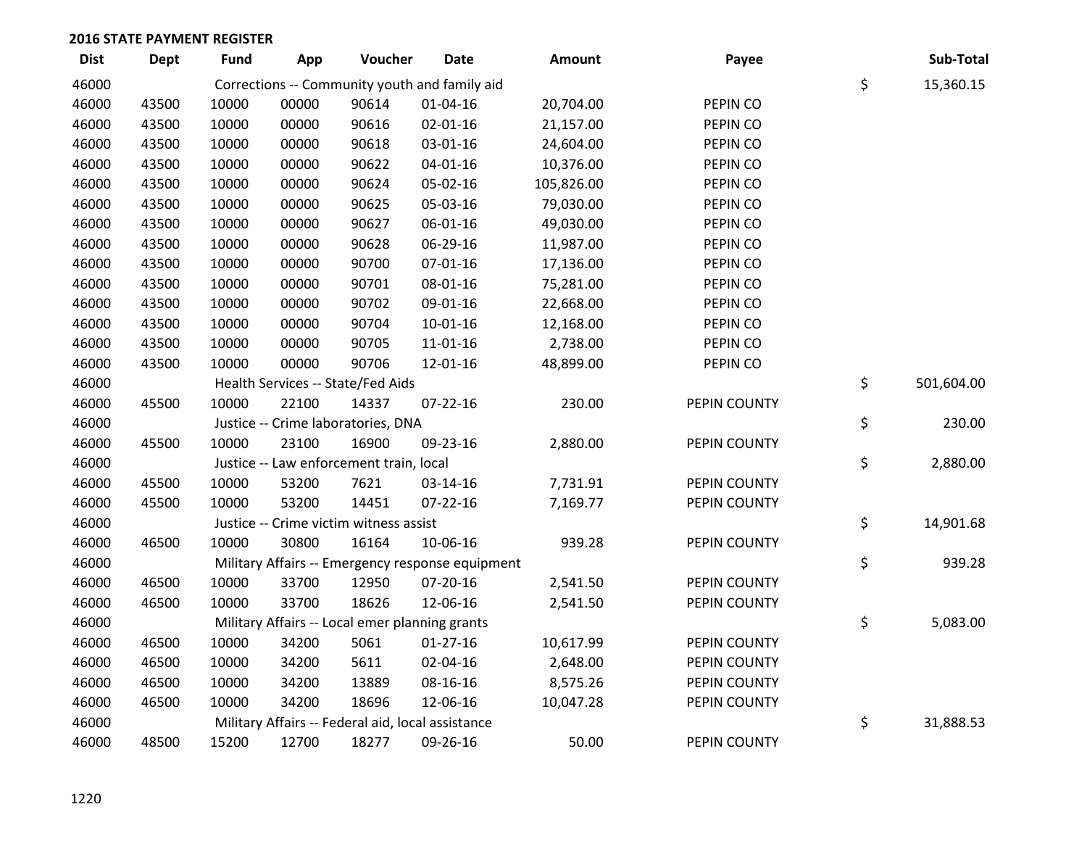| <b>Dist</b> | <b>Dept</b> | <b>Fund</b> | App   | Voucher                                           | <b>Date</b>    | <b>Amount</b> | Payee        | Sub-Total        |
|-------------|-------------|-------------|-------|---------------------------------------------------|----------------|---------------|--------------|------------------|
| 46000       |             |             |       | Corrections -- Community youth and family aid     |                |               |              | \$<br>15,360.15  |
| 46000       | 43500       | 10000       | 00000 | 90614                                             | $01 - 04 - 16$ | 20,704.00     | PEPIN CO     |                  |
| 46000       | 43500       | 10000       | 00000 | 90616                                             | $02 - 01 - 16$ | 21,157.00     | PEPIN CO     |                  |
| 46000       | 43500       | 10000       | 00000 | 90618                                             | 03-01-16       | 24,604.00     | PEPIN CO     |                  |
| 46000       | 43500       | 10000       | 00000 | 90622                                             | $04 - 01 - 16$ | 10,376.00     | PEPIN CO     |                  |
| 46000       | 43500       | 10000       | 00000 | 90624                                             | 05-02-16       | 105,826.00    | PEPIN CO     |                  |
| 46000       | 43500       | 10000       | 00000 | 90625                                             | 05-03-16       | 79,030.00     | PEPIN CO     |                  |
| 46000       | 43500       | 10000       | 00000 | 90627                                             | 06-01-16       | 49,030.00     | PEPIN CO     |                  |
| 46000       | 43500       | 10000       | 00000 | 90628                                             | 06-29-16       | 11,987.00     | PEPIN CO     |                  |
| 46000       | 43500       | 10000       | 00000 | 90700                                             | 07-01-16       | 17,136.00     | PEPIN CO     |                  |
| 46000       | 43500       | 10000       | 00000 | 90701                                             | 08-01-16       | 75,281.00     | PEPIN CO     |                  |
| 46000       | 43500       | 10000       | 00000 | 90702                                             | 09-01-16       | 22,668.00     | PEPIN CO     |                  |
| 46000       | 43500       | 10000       | 00000 | 90704                                             | $10-01-16$     | 12,168.00     | PEPIN CO     |                  |
| 46000       | 43500       | 10000       | 00000 | 90705                                             | $11 - 01 - 16$ | 2,738.00      | PEPIN CO     |                  |
| 46000       | 43500       | 10000       | 00000 | 90706                                             | 12-01-16       | 48,899.00     | PEPIN CO     |                  |
| 46000       |             |             |       | Health Services -- State/Fed Aids                 |                |               |              | \$<br>501,604.00 |
| 46000       | 45500       | 10000       | 22100 | 14337                                             | $07 - 22 - 16$ | 230.00        | PEPIN COUNTY |                  |
| 46000       |             |             |       | Justice -- Crime laboratories, DNA                |                |               |              | \$<br>230.00     |
| 46000       | 45500       | 10000       | 23100 | 16900                                             | 09-23-16       | 2,880.00      | PEPIN COUNTY |                  |
| 46000       |             |             |       | Justice -- Law enforcement train, local           |                |               |              | \$<br>2,880.00   |
| 46000       | 45500       | 10000       | 53200 | 7621                                              | 03-14-16       | 7,731.91      | PEPIN COUNTY |                  |
| 46000       | 45500       | 10000       | 53200 | 14451                                             | 07-22-16       | 7,169.77      | PEPIN COUNTY |                  |
| 46000       |             |             |       | Justice -- Crime victim witness assist            |                |               |              | \$<br>14,901.68  |
| 46000       | 46500       | 10000       | 30800 | 16164                                             | 10-06-16       | 939.28        | PEPIN COUNTY |                  |
| 46000       |             |             |       | Military Affairs -- Emergency response equipment  |                |               |              | \$<br>939.28     |
| 46000       | 46500       | 10000       | 33700 | 12950                                             | 07-20-16       | 2,541.50      | PEPIN COUNTY |                  |
| 46000       | 46500       | 10000       | 33700 | 18626                                             | 12-06-16       | 2,541.50      | PEPIN COUNTY |                  |
| 46000       |             |             |       | Military Affairs -- Local emer planning grants    |                |               |              | \$<br>5,083.00   |
| 46000       | 46500       | 10000       | 34200 | 5061                                              | $01 - 27 - 16$ | 10,617.99     | PEPIN COUNTY |                  |
| 46000       | 46500       | 10000       | 34200 | 5611                                              | 02-04-16       | 2,648.00      | PEPIN COUNTY |                  |
| 46000       | 46500       | 10000       | 34200 | 13889                                             | 08-16-16       | 8,575.26      | PEPIN COUNTY |                  |
| 46000       | 46500       | 10000       | 34200 | 18696                                             | 12-06-16       | 10,047.28     | PEPIN COUNTY |                  |
| 46000       |             |             |       | Military Affairs -- Federal aid, local assistance |                |               |              | \$<br>31,888.53  |
| 46000       | 48500       | 15200       | 12700 | 18277                                             | 09-26-16       | 50.00         | PEPIN COUNTY |                  |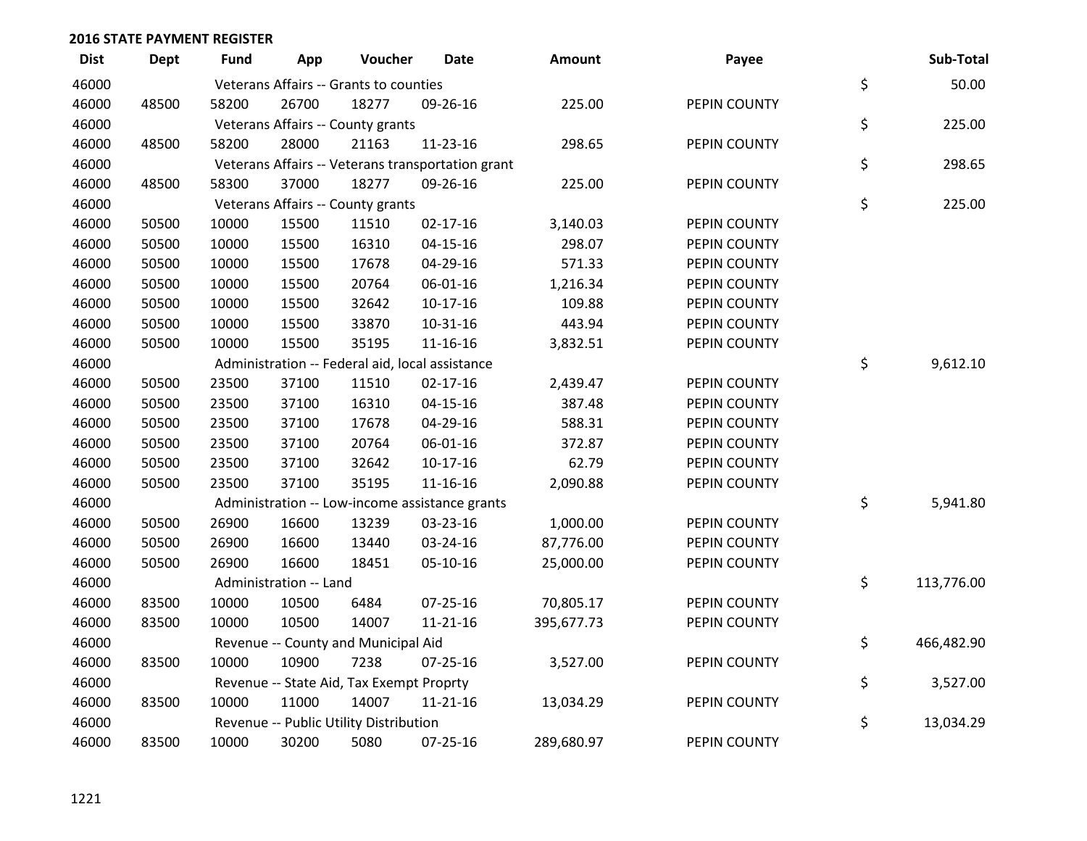| <b>Dist</b> | <b>Dept</b> | Fund  | App                    | Voucher                                           | <b>Date</b>    | <b>Amount</b> | Payee        | Sub-Total        |
|-------------|-------------|-------|------------------------|---------------------------------------------------|----------------|---------------|--------------|------------------|
| 46000       |             |       |                        | Veterans Affairs -- Grants to counties            |                |               |              | \$<br>50.00      |
| 46000       | 48500       | 58200 | 26700                  | 18277                                             | 09-26-16       | 225.00        | PEPIN COUNTY |                  |
| 46000       |             |       |                        | Veterans Affairs -- County grants                 |                |               |              | \$<br>225.00     |
| 46000       | 48500       | 58200 | 28000                  | 21163                                             | 11-23-16       | 298.65        | PEPIN COUNTY |                  |
| 46000       |             |       |                        | Veterans Affairs -- Veterans transportation grant |                |               |              | \$<br>298.65     |
| 46000       | 48500       | 58300 | 37000                  | 18277                                             | 09-26-16       | 225.00        | PEPIN COUNTY |                  |
| 46000       |             |       |                        | Veterans Affairs -- County grants                 |                |               |              | \$<br>225.00     |
| 46000       | 50500       | 10000 | 15500                  | 11510                                             | $02 - 17 - 16$ | 3,140.03      | PEPIN COUNTY |                  |
| 46000       | 50500       | 10000 | 15500                  | 16310                                             | $04 - 15 - 16$ | 298.07        | PEPIN COUNTY |                  |
| 46000       | 50500       | 10000 | 15500                  | 17678                                             | 04-29-16       | 571.33        | PEPIN COUNTY |                  |
| 46000       | 50500       | 10000 | 15500                  | 20764                                             | 06-01-16       | 1,216.34      | PEPIN COUNTY |                  |
| 46000       | 50500       | 10000 | 15500                  | 32642                                             | $10-17-16$     | 109.88        | PEPIN COUNTY |                  |
| 46000       | 50500       | 10000 | 15500                  | 33870                                             | 10-31-16       | 443.94        | PEPIN COUNTY |                  |
| 46000       | 50500       | 10000 | 15500                  | 35195                                             | $11 - 16 - 16$ | 3,832.51      | PEPIN COUNTY |                  |
| 46000       |             |       |                        | Administration -- Federal aid, local assistance   |                |               |              | \$<br>9,612.10   |
| 46000       | 50500       | 23500 | 37100                  | 11510                                             | $02 - 17 - 16$ | 2,439.47      | PEPIN COUNTY |                  |
| 46000       | 50500       | 23500 | 37100                  | 16310                                             | 04-15-16       | 387.48        | PEPIN COUNTY |                  |
| 46000       | 50500       | 23500 | 37100                  | 17678                                             | 04-29-16       | 588.31        | PEPIN COUNTY |                  |
| 46000       | 50500       | 23500 | 37100                  | 20764                                             | 06-01-16       | 372.87        | PEPIN COUNTY |                  |
| 46000       | 50500       | 23500 | 37100                  | 32642                                             | $10-17-16$     | 62.79         | PEPIN COUNTY |                  |
| 46000       | 50500       | 23500 | 37100                  | 35195                                             | 11-16-16       | 2,090.88      | PEPIN COUNTY |                  |
| 46000       |             |       |                        | Administration -- Low-income assistance grants    |                |               |              | \$<br>5,941.80   |
| 46000       | 50500       | 26900 | 16600                  | 13239                                             | 03-23-16       | 1,000.00      | PEPIN COUNTY |                  |
| 46000       | 50500       | 26900 | 16600                  | 13440                                             | 03-24-16       | 87,776.00     | PEPIN COUNTY |                  |
| 46000       | 50500       | 26900 | 16600                  | 18451                                             | 05-10-16       | 25,000.00     | PEPIN COUNTY |                  |
| 46000       |             |       | Administration -- Land |                                                   |                |               |              | \$<br>113,776.00 |
| 46000       | 83500       | 10000 | 10500                  | 6484                                              | $07 - 25 - 16$ | 70,805.17     | PEPIN COUNTY |                  |
| 46000       | 83500       | 10000 | 10500                  | 14007                                             | $11 - 21 - 16$ | 395,677.73    | PEPIN COUNTY |                  |
| 46000       |             |       |                        | Revenue -- County and Municipal Aid               |                |               |              | \$<br>466,482.90 |
| 46000       | 83500       | 10000 | 10900                  | 7238                                              | $07 - 25 - 16$ | 3,527.00      | PEPIN COUNTY |                  |
| 46000       |             |       |                        | Revenue -- State Aid, Tax Exempt Proprty          |                |               |              | \$<br>3,527.00   |
| 46000       | 83500       | 10000 | 11000                  | 14007                                             | $11 - 21 - 16$ | 13,034.29     | PEPIN COUNTY |                  |
| 46000       |             |       |                        | Revenue -- Public Utility Distribution            |                |               |              | \$<br>13,034.29  |
| 46000       | 83500       | 10000 | 30200                  | 5080                                              | 07-25-16       | 289,680.97    | PEPIN COUNTY |                  |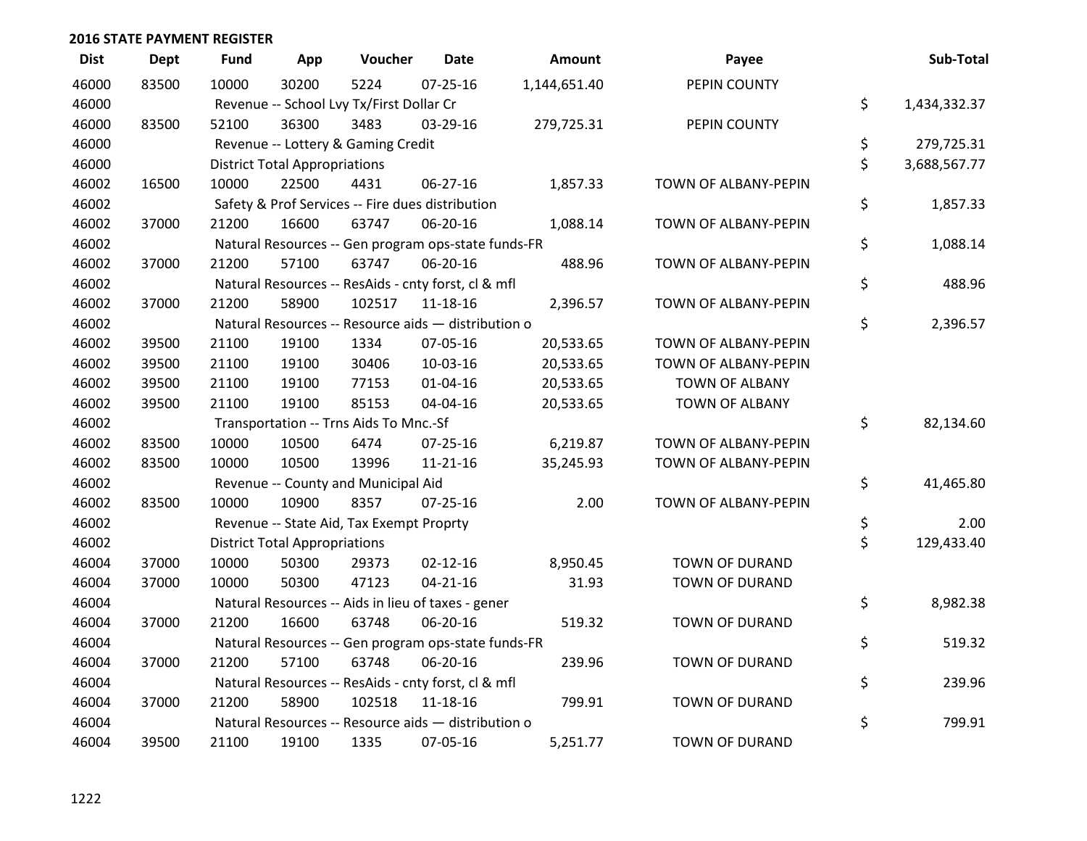| <b>Dist</b> | Dept  | <b>Fund</b> | App                                  | Voucher                                             | <b>Date</b>    | Amount       | Payee                 | Sub-Total          |
|-------------|-------|-------------|--------------------------------------|-----------------------------------------------------|----------------|--------------|-----------------------|--------------------|
| 46000       | 83500 | 10000       | 30200                                | 5224                                                | $07 - 25 - 16$ | 1,144,651.40 | PEPIN COUNTY          |                    |
| 46000       |       |             |                                      | Revenue -- School Lvy Tx/First Dollar Cr            |                |              |                       | \$<br>1,434,332.37 |
| 46000       | 83500 | 52100       | 36300                                | 3483                                                | 03-29-16       | 279,725.31   | PEPIN COUNTY          |                    |
| 46000       |       |             |                                      | Revenue -- Lottery & Gaming Credit                  |                |              |                       | \$<br>279,725.31   |
| 46000       |       |             | <b>District Total Appropriations</b> |                                                     |                |              |                       | \$<br>3,688,567.77 |
| 46002       | 16500 | 10000       | 22500                                | 4431                                                | 06-27-16       | 1,857.33     | TOWN OF ALBANY-PEPIN  |                    |
| 46002       |       |             |                                      | Safety & Prof Services -- Fire dues distribution    |                |              |                       | \$<br>1,857.33     |
| 46002       | 37000 | 21200       | 16600                                | 63747                                               | 06-20-16       | 1,088.14     | TOWN OF ALBANY-PEPIN  |                    |
| 46002       |       |             |                                      | Natural Resources -- Gen program ops-state funds-FR |                |              |                       | \$<br>1,088.14     |
| 46002       | 37000 | 21200       | 57100                                | 63747                                               | 06-20-16       | 488.96       | TOWN OF ALBANY-PEPIN  |                    |
| 46002       |       |             |                                      | Natural Resources -- ResAids - cnty forst, cl & mfl |                |              |                       | \$<br>488.96       |
| 46002       | 37000 | 21200       | 58900                                | 102517                                              | 11-18-16       | 2,396.57     | TOWN OF ALBANY-PEPIN  |                    |
| 46002       |       |             |                                      | Natural Resources -- Resource aids - distribution o |                |              |                       | \$<br>2,396.57     |
| 46002       | 39500 | 21100       | 19100                                | 1334                                                | 07-05-16       | 20,533.65    | TOWN OF ALBANY-PEPIN  |                    |
| 46002       | 39500 | 21100       | 19100                                | 30406                                               | 10-03-16       | 20,533.65    | TOWN OF ALBANY-PEPIN  |                    |
| 46002       | 39500 | 21100       | 19100                                | 77153                                               | $01 - 04 - 16$ | 20,533.65    | <b>TOWN OF ALBANY</b> |                    |
| 46002       | 39500 | 21100       | 19100                                | 85153                                               | 04-04-16       | 20,533.65    | TOWN OF ALBANY        |                    |
| 46002       |       |             |                                      | Transportation -- Trns Aids To Mnc.-Sf              |                |              |                       | \$<br>82,134.60    |
| 46002       | 83500 | 10000       | 10500                                | 6474                                                | 07-25-16       | 6,219.87     | TOWN OF ALBANY-PEPIN  |                    |
| 46002       | 83500 | 10000       | 10500                                | 13996                                               | $11 - 21 - 16$ | 35,245.93    | TOWN OF ALBANY-PEPIN  |                    |
| 46002       |       |             |                                      | Revenue -- County and Municipal Aid                 |                |              |                       | \$<br>41,465.80    |
| 46002       | 83500 | 10000       | 10900                                | 8357                                                | $07 - 25 - 16$ | 2.00         | TOWN OF ALBANY-PEPIN  |                    |
| 46002       |       |             |                                      | Revenue -- State Aid, Tax Exempt Proprty            |                |              |                       | \$<br>2.00         |
| 46002       |       |             | <b>District Total Appropriations</b> |                                                     |                |              |                       | \$<br>129,433.40   |
| 46004       | 37000 | 10000       | 50300                                | 29373                                               | $02 - 12 - 16$ | 8,950.45     | <b>TOWN OF DURAND</b> |                    |
| 46004       | 37000 | 10000       | 50300                                | 47123                                               | $04 - 21 - 16$ | 31.93        | TOWN OF DURAND        |                    |
| 46004       |       |             |                                      | Natural Resources -- Aids in lieu of taxes - gener  |                |              |                       | \$<br>8,982.38     |
| 46004       | 37000 | 21200       | 16600                                | 63748                                               | 06-20-16       | 519.32       | <b>TOWN OF DURAND</b> |                    |
| 46004       |       |             |                                      | Natural Resources -- Gen program ops-state funds-FR |                |              |                       | \$<br>519.32       |
| 46004       | 37000 | 21200       | 57100                                | 63748                                               | 06-20-16       | 239.96       | <b>TOWN OF DURAND</b> |                    |
| 46004       |       |             |                                      | Natural Resources -- ResAids - cnty forst, cl & mfl |                |              |                       | \$<br>239.96       |
| 46004       | 37000 | 21200       | 58900                                | 102518                                              | 11-18-16       | 799.91       | <b>TOWN OF DURAND</b> |                    |
| 46004       |       |             |                                      | Natural Resources -- Resource aids - distribution o |                |              |                       | \$<br>799.91       |
| 46004       | 39500 | 21100       | 19100                                | 1335                                                | 07-05-16       | 5,251.77     | <b>TOWN OF DURAND</b> |                    |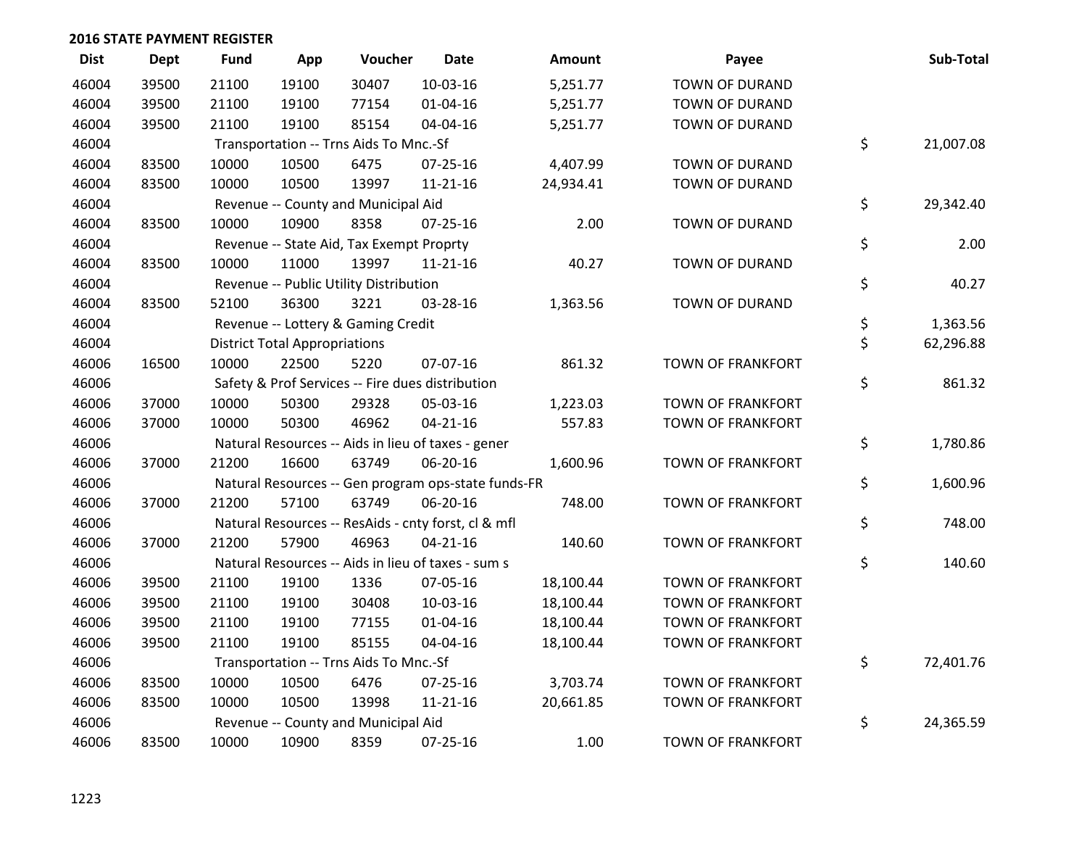| <b>Dist</b> | <b>Dept</b> | <b>Fund</b> | App                                  | Voucher                                  | <b>Date</b>                                         | <b>Amount</b> | Payee                    | Sub-Total       |
|-------------|-------------|-------------|--------------------------------------|------------------------------------------|-----------------------------------------------------|---------------|--------------------------|-----------------|
| 46004       | 39500       | 21100       | 19100                                | 30407                                    | 10-03-16                                            | 5,251.77      | <b>TOWN OF DURAND</b>    |                 |
| 46004       | 39500       | 21100       | 19100                                | 77154                                    | $01 - 04 - 16$                                      | 5,251.77      | <b>TOWN OF DURAND</b>    |                 |
| 46004       | 39500       | 21100       | 19100                                | 85154                                    | 04-04-16                                            | 5,251.77      | <b>TOWN OF DURAND</b>    |                 |
| 46004       |             |             |                                      | Transportation -- Trns Aids To Mnc.-Sf   |                                                     |               |                          | \$<br>21,007.08 |
| 46004       | 83500       | 10000       | 10500                                | 6475                                     | 07-25-16                                            | 4,407.99      | TOWN OF DURAND           |                 |
| 46004       | 83500       | 10000       | 10500                                | 13997                                    | $11 - 21 - 16$                                      | 24,934.41     | <b>TOWN OF DURAND</b>    |                 |
| 46004       |             |             |                                      | Revenue -- County and Municipal Aid      |                                                     |               |                          | \$<br>29,342.40 |
| 46004       | 83500       | 10000       | 10900                                | 8358                                     | $07 - 25 - 16$                                      | 2.00          | <b>TOWN OF DURAND</b>    |                 |
| 46004       |             |             |                                      | Revenue -- State Aid, Tax Exempt Proprty |                                                     |               |                          | \$<br>2.00      |
| 46004       | 83500       | 10000       | 11000                                | 13997                                    | 11-21-16                                            | 40.27         | <b>TOWN OF DURAND</b>    |                 |
| 46004       |             |             |                                      | Revenue -- Public Utility Distribution   |                                                     |               |                          | \$<br>40.27     |
| 46004       | 83500       | 52100       | 36300                                | 3221                                     | 03-28-16                                            | 1,363.56      | <b>TOWN OF DURAND</b>    |                 |
| 46004       |             |             |                                      | Revenue -- Lottery & Gaming Credit       |                                                     |               |                          | \$<br>1,363.56  |
| 46004       |             |             | <b>District Total Appropriations</b> |                                          |                                                     |               |                          | \$<br>62,296.88 |
| 46006       | 16500       | 10000       | 22500                                | 5220                                     | 07-07-16                                            | 861.32        | TOWN OF FRANKFORT        |                 |
| 46006       |             |             |                                      |                                          | Safety & Prof Services -- Fire dues distribution    |               |                          | \$<br>861.32    |
| 46006       | 37000       | 10000       | 50300                                | 29328                                    | 05-03-16                                            | 1,223.03      | <b>TOWN OF FRANKFORT</b> |                 |
| 46006       | 37000       | 10000       | 50300                                | 46962                                    | $04 - 21 - 16$                                      | 557.83        | TOWN OF FRANKFORT        |                 |
| 46006       |             |             |                                      |                                          | Natural Resources -- Aids in lieu of taxes - gener  |               |                          | \$<br>1,780.86  |
| 46006       | 37000       | 21200       | 16600                                | 63749                                    | 06-20-16                                            | 1,600.96      | TOWN OF FRANKFORT        |                 |
| 46006       |             |             |                                      |                                          | Natural Resources -- Gen program ops-state funds-FR |               |                          | \$<br>1,600.96  |
| 46006       | 37000       | 21200       | 57100                                | 63749                                    | 06-20-16                                            | 748.00        | <b>TOWN OF FRANKFORT</b> |                 |
| 46006       |             |             |                                      |                                          | Natural Resources -- ResAids - cnty forst, cl & mfl |               |                          | \$<br>748.00    |
| 46006       | 37000       | 21200       | 57900                                | 46963                                    | $04 - 21 - 16$                                      | 140.60        | TOWN OF FRANKFORT        |                 |
| 46006       |             |             |                                      |                                          | Natural Resources -- Aids in lieu of taxes - sum s  |               |                          | \$<br>140.60    |
| 46006       | 39500       | 21100       | 19100                                | 1336                                     | 07-05-16                                            | 18,100.44     | TOWN OF FRANKFORT        |                 |
| 46006       | 39500       | 21100       | 19100                                | 30408                                    | 10-03-16                                            | 18,100.44     | <b>TOWN OF FRANKFORT</b> |                 |
| 46006       | 39500       | 21100       | 19100                                | 77155                                    | 01-04-16                                            | 18,100.44     | <b>TOWN OF FRANKFORT</b> |                 |
| 46006       | 39500       | 21100       | 19100                                | 85155                                    | 04-04-16                                            | 18,100.44     | TOWN OF FRANKFORT        |                 |
| 46006       |             |             |                                      | Transportation -- Trns Aids To Mnc.-Sf   |                                                     |               |                          | \$<br>72,401.76 |
| 46006       | 83500       | 10000       | 10500                                | 6476                                     | $07 - 25 - 16$                                      | 3,703.74      | <b>TOWN OF FRANKFORT</b> |                 |
| 46006       | 83500       | 10000       | 10500                                | 13998                                    | $11 - 21 - 16$                                      | 20,661.85     | <b>TOWN OF FRANKFORT</b> |                 |
| 46006       |             |             |                                      | Revenue -- County and Municipal Aid      |                                                     |               |                          | \$<br>24,365.59 |
| 46006       | 83500       | 10000       | 10900                                | 8359                                     | $07 - 25 - 16$                                      | 1.00          | <b>TOWN OF FRANKFORT</b> |                 |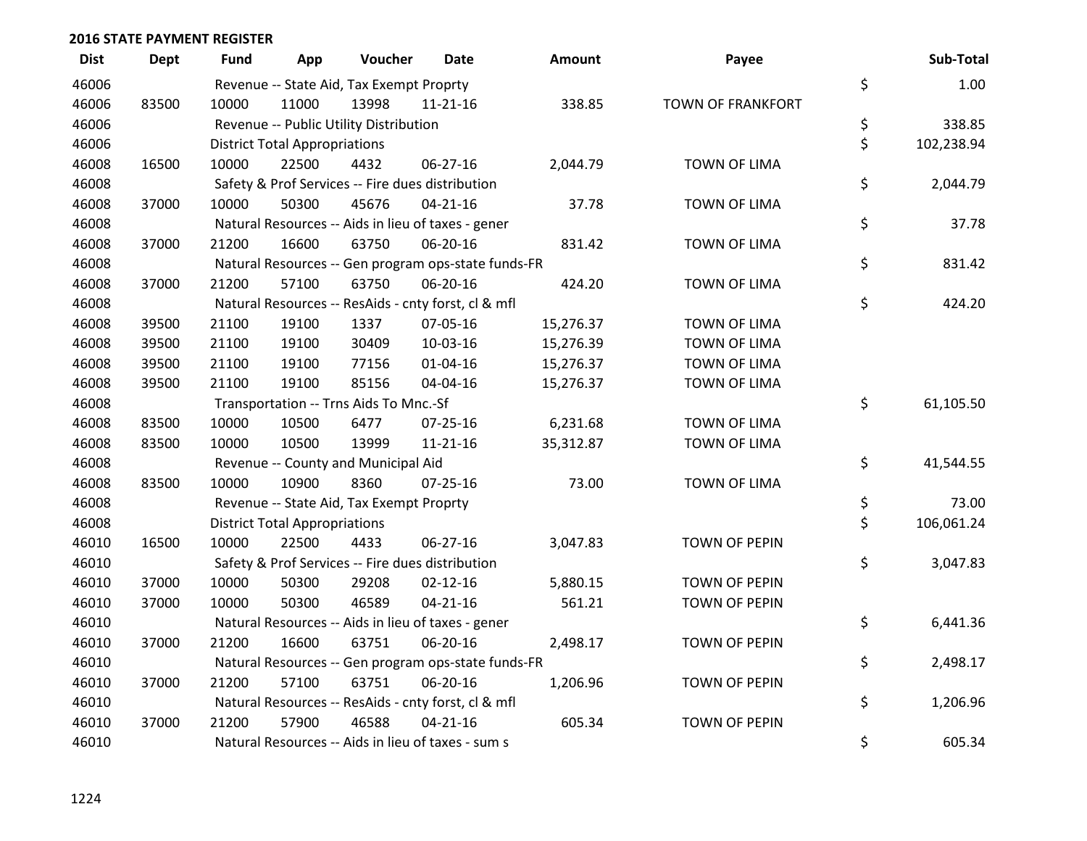| <b>Dist</b> | <b>Dept</b> | <b>Fund</b> | App                                  | Voucher                                          | <b>Date</b>                                         | <b>Amount</b> | Payee                | Sub-Total        |
|-------------|-------------|-------------|--------------------------------------|--------------------------------------------------|-----------------------------------------------------|---------------|----------------------|------------------|
| 46006       |             |             |                                      | Revenue -- State Aid, Tax Exempt Proprty         |                                                     |               |                      | \$<br>1.00       |
| 46006       | 83500       | 10000       | 11000                                | 13998                                            | $11 - 21 - 16$                                      | 338.85        | TOWN OF FRANKFORT    |                  |
| 46006       |             |             |                                      | Revenue -- Public Utility Distribution           |                                                     |               |                      | \$<br>338.85     |
| 46006       |             |             | <b>District Total Appropriations</b> |                                                  |                                                     |               |                      | \$<br>102,238.94 |
| 46008       | 16500       | 10000       | 22500                                | 4432                                             | 06-27-16                                            | 2,044.79      | <b>TOWN OF LIMA</b>  |                  |
| 46008       |             |             |                                      | Safety & Prof Services -- Fire dues distribution |                                                     |               |                      | \$<br>2,044.79   |
| 46008       | 37000       | 10000       | 50300                                | 45676                                            | $04 - 21 - 16$                                      | 37.78         | <b>TOWN OF LIMA</b>  |                  |
| 46008       |             |             |                                      |                                                  | Natural Resources -- Aids in lieu of taxes - gener  |               |                      | \$<br>37.78      |
| 46008       | 37000       | 21200       | 16600                                | 63750                                            | 06-20-16                                            | 831.42        | <b>TOWN OF LIMA</b>  |                  |
| 46008       |             |             |                                      |                                                  | Natural Resources -- Gen program ops-state funds-FR |               |                      | \$<br>831.42     |
| 46008       | 37000       | 21200       | 57100                                | 63750                                            | 06-20-16                                            | 424.20        | <b>TOWN OF LIMA</b>  |                  |
| 46008       |             |             |                                      |                                                  | Natural Resources -- ResAids - cnty forst, cl & mfl |               |                      | \$<br>424.20     |
| 46008       | 39500       | 21100       | 19100                                | 1337                                             | 07-05-16                                            | 15,276.37     | <b>TOWN OF LIMA</b>  |                  |
| 46008       | 39500       | 21100       | 19100                                | 30409                                            | 10-03-16                                            | 15,276.39     | <b>TOWN OF LIMA</b>  |                  |
| 46008       | 39500       | 21100       | 19100                                | 77156                                            | $01 - 04 - 16$                                      | 15,276.37     | <b>TOWN OF LIMA</b>  |                  |
| 46008       | 39500       | 21100       | 19100                                | 85156                                            | 04-04-16                                            | 15,276.37     | <b>TOWN OF LIMA</b>  |                  |
| 46008       |             |             |                                      | Transportation -- Trns Aids To Mnc.-Sf           |                                                     |               |                      | \$<br>61,105.50  |
| 46008       | 83500       | 10000       | 10500                                | 6477                                             | $07 - 25 - 16$                                      | 6,231.68      | <b>TOWN OF LIMA</b>  |                  |
| 46008       | 83500       | 10000       | 10500                                | 13999                                            | $11 - 21 - 16$                                      | 35,312.87     | <b>TOWN OF LIMA</b>  |                  |
| 46008       |             |             |                                      | Revenue -- County and Municipal Aid              |                                                     |               |                      | \$<br>41,544.55  |
| 46008       | 83500       | 10000       | 10900                                | 8360                                             | 07-25-16                                            | 73.00         | <b>TOWN OF LIMA</b>  |                  |
| 46008       |             |             |                                      | Revenue -- State Aid, Tax Exempt Proprty         |                                                     |               |                      | \$<br>73.00      |
| 46008       |             |             | <b>District Total Appropriations</b> |                                                  |                                                     |               |                      | \$<br>106,061.24 |
| 46010       | 16500       | 10000       | 22500                                | 4433                                             | 06-27-16                                            | 3,047.83      | <b>TOWN OF PEPIN</b> |                  |
| 46010       |             |             |                                      | Safety & Prof Services -- Fire dues distribution |                                                     |               |                      | \$<br>3,047.83   |
| 46010       | 37000       | 10000       | 50300                                | 29208                                            | $02 - 12 - 16$                                      | 5,880.15      | TOWN OF PEPIN        |                  |
| 46010       | 37000       | 10000       | 50300                                | 46589                                            | $04 - 21 - 16$                                      | 561.21        | <b>TOWN OF PEPIN</b> |                  |
| 46010       |             |             |                                      |                                                  | Natural Resources -- Aids in lieu of taxes - gener  |               |                      | \$<br>6,441.36   |
| 46010       | 37000       | 21200       | 16600                                | 63751                                            | 06-20-16                                            | 2,498.17      | <b>TOWN OF PEPIN</b> |                  |
| 46010       |             |             |                                      |                                                  | Natural Resources -- Gen program ops-state funds-FR |               |                      | \$<br>2,498.17   |
| 46010       | 37000       | 21200       | 57100                                | 63751                                            | 06-20-16                                            | 1,206.96      | <b>TOWN OF PEPIN</b> |                  |
| 46010       |             |             |                                      |                                                  | Natural Resources -- ResAids - cnty forst, cl & mfl |               |                      | \$<br>1,206.96   |
| 46010       | 37000       | 21200       | 57900                                | 46588                                            | $04 - 21 - 16$                                      | 605.34        | <b>TOWN OF PEPIN</b> |                  |
| 46010       |             |             |                                      |                                                  | Natural Resources -- Aids in lieu of taxes - sum s  |               |                      | \$<br>605.34     |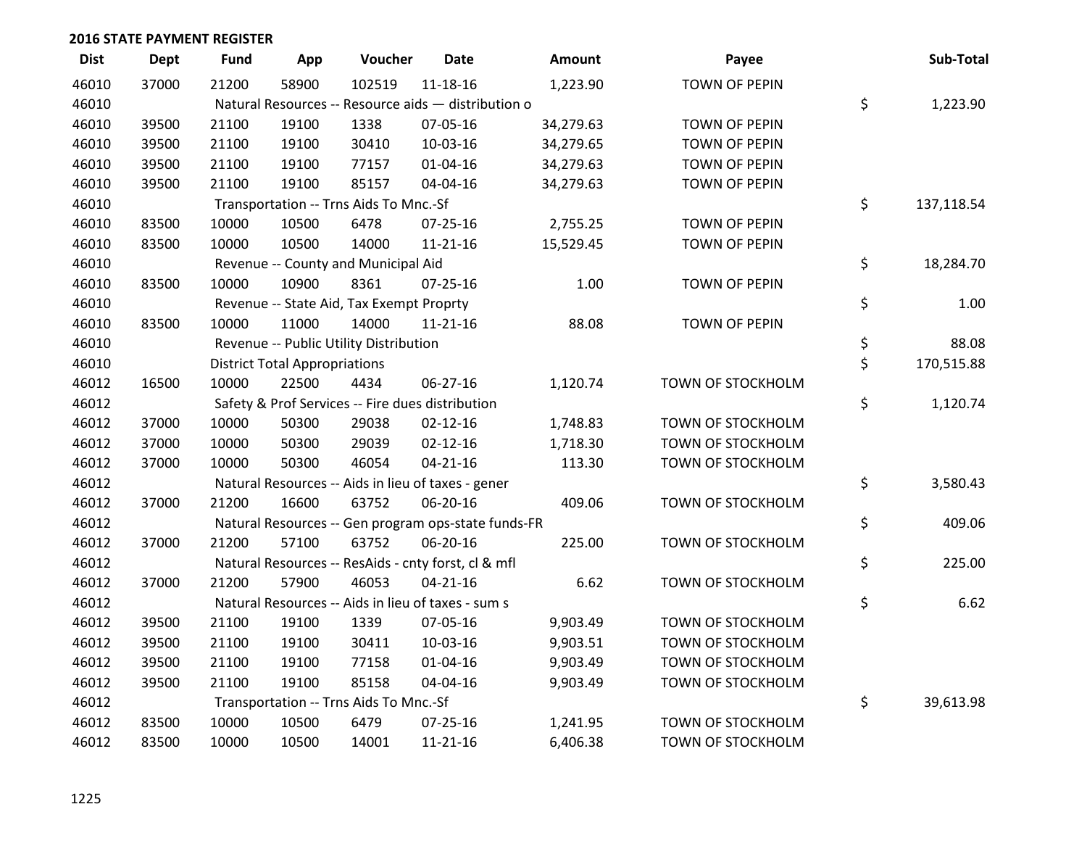| <b>Dist</b> | <b>Dept</b> | <b>Fund</b> | App                                  | Voucher                                  | <b>Date</b>                                         | <b>Amount</b> | Payee                    | Sub-Total        |
|-------------|-------------|-------------|--------------------------------------|------------------------------------------|-----------------------------------------------------|---------------|--------------------------|------------------|
| 46010       | 37000       | 21200       | 58900                                | 102519                                   | $11 - 18 - 16$                                      | 1,223.90      | <b>TOWN OF PEPIN</b>     |                  |
| 46010       |             |             |                                      |                                          | Natural Resources -- Resource aids - distribution o |               |                          | \$<br>1,223.90   |
| 46010       | 39500       | 21100       | 19100                                | 1338                                     | 07-05-16                                            | 34,279.63     | TOWN OF PEPIN            |                  |
| 46010       | 39500       | 21100       | 19100                                | 30410                                    | 10-03-16                                            | 34,279.65     | TOWN OF PEPIN            |                  |
| 46010       | 39500       | 21100       | 19100                                | 77157                                    | $01 - 04 - 16$                                      | 34,279.63     | TOWN OF PEPIN            |                  |
| 46010       | 39500       | 21100       | 19100                                | 85157                                    | 04-04-16                                            | 34,279.63     | <b>TOWN OF PEPIN</b>     |                  |
| 46010       |             |             |                                      | Transportation -- Trns Aids To Mnc.-Sf   |                                                     |               |                          | \$<br>137,118.54 |
| 46010       | 83500       | 10000       | 10500                                | 6478                                     | $07 - 25 - 16$                                      | 2,755.25      | <b>TOWN OF PEPIN</b>     |                  |
| 46010       | 83500       | 10000       | 10500                                | 14000                                    | 11-21-16                                            | 15,529.45     | TOWN OF PEPIN            |                  |
| 46010       |             |             |                                      | Revenue -- County and Municipal Aid      |                                                     |               |                          | \$<br>18,284.70  |
| 46010       | 83500       | 10000       | 10900                                | 8361                                     | $07 - 25 - 16$                                      | 1.00          | TOWN OF PEPIN            |                  |
| 46010       |             |             |                                      | Revenue -- State Aid, Tax Exempt Proprty |                                                     |               |                          | \$<br>1.00       |
| 46010       | 83500       | 10000       | 11000                                | 14000                                    | $11 - 21 - 16$                                      | 88.08         | <b>TOWN OF PEPIN</b>     |                  |
| 46010       |             |             |                                      | Revenue -- Public Utility Distribution   |                                                     |               |                          | \$<br>88.08      |
| 46010       |             |             | <b>District Total Appropriations</b> |                                          |                                                     |               |                          | \$<br>170,515.88 |
| 46012       | 16500       | 10000       | 22500                                | 4434                                     | 06-27-16                                            | 1,120.74      | TOWN OF STOCKHOLM        |                  |
| 46012       |             |             |                                      |                                          | Safety & Prof Services -- Fire dues distribution    |               |                          | \$<br>1,120.74   |
| 46012       | 37000       | 10000       | 50300                                | 29038                                    | $02 - 12 - 16$                                      | 1,748.83      | <b>TOWN OF STOCKHOLM</b> |                  |
| 46012       | 37000       | 10000       | 50300                                | 29039                                    | $02 - 12 - 16$                                      | 1,718.30      | TOWN OF STOCKHOLM        |                  |
| 46012       | 37000       | 10000       | 50300                                | 46054                                    | $04 - 21 - 16$                                      | 113.30        | TOWN OF STOCKHOLM        |                  |
| 46012       |             |             |                                      |                                          | Natural Resources -- Aids in lieu of taxes - gener  |               |                          | \$<br>3,580.43   |
| 46012       | 37000       | 21200       | 16600                                | 63752                                    | 06-20-16                                            | 409.06        | TOWN OF STOCKHOLM        |                  |
| 46012       |             |             |                                      |                                          | Natural Resources -- Gen program ops-state funds-FR |               |                          | \$<br>409.06     |
| 46012       | 37000       | 21200       | 57100                                | 63752                                    | 06-20-16                                            | 225.00        | TOWN OF STOCKHOLM        |                  |
| 46012       |             |             |                                      |                                          | Natural Resources -- ResAids - cnty forst, cl & mfl |               |                          | \$<br>225.00     |
| 46012       | 37000       | 21200       | 57900                                | 46053                                    | $04 - 21 - 16$                                      | 6.62          | TOWN OF STOCKHOLM        |                  |
| 46012       |             |             |                                      |                                          | Natural Resources -- Aids in lieu of taxes - sum s  |               |                          | \$<br>6.62       |
| 46012       | 39500       | 21100       | 19100                                | 1339                                     | 07-05-16                                            | 9,903.49      | TOWN OF STOCKHOLM        |                  |
| 46012       | 39500       | 21100       | 19100                                | 30411                                    | 10-03-16                                            | 9,903.51      | <b>TOWN OF STOCKHOLM</b> |                  |
| 46012       | 39500       | 21100       | 19100                                | 77158                                    | $01 - 04 - 16$                                      | 9,903.49      | TOWN OF STOCKHOLM        |                  |
| 46012       | 39500       | 21100       | 19100                                | 85158                                    | 04-04-16                                            | 9,903.49      | TOWN OF STOCKHOLM        |                  |
| 46012       |             |             |                                      | Transportation -- Trns Aids To Mnc.-Sf   |                                                     |               |                          | \$<br>39,613.98  |
| 46012       | 83500       | 10000       | 10500                                | 6479                                     | 07-25-16                                            | 1,241.95      | TOWN OF STOCKHOLM        |                  |
| 46012       | 83500       | 10000       | 10500                                | 14001                                    | 11-21-16                                            | 6,406.38      | TOWN OF STOCKHOLM        |                  |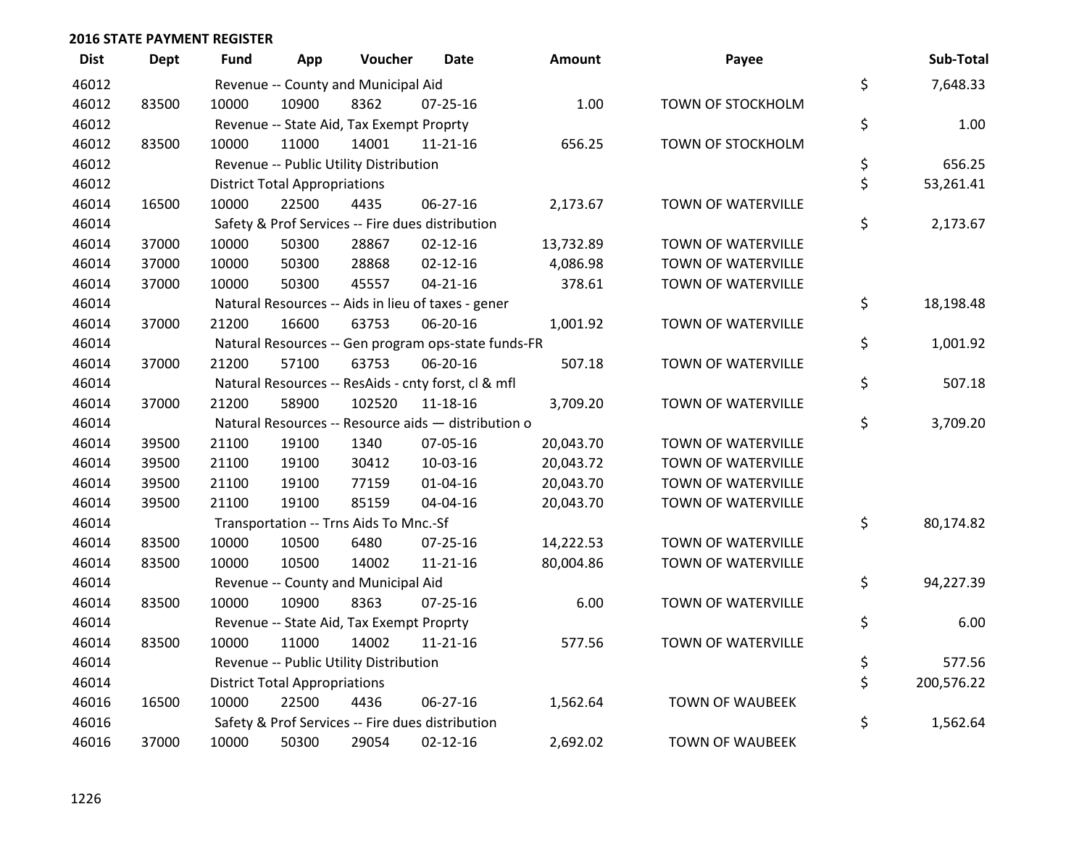| <b>Dist</b> | <b>Dept</b> | <b>Fund</b> | App                                  | Voucher                                          | <b>Date</b>                                         | <b>Amount</b> | Payee                     | Sub-Total        |
|-------------|-------------|-------------|--------------------------------------|--------------------------------------------------|-----------------------------------------------------|---------------|---------------------------|------------------|
| 46012       |             |             |                                      | Revenue -- County and Municipal Aid              |                                                     |               |                           | \$<br>7,648.33   |
| 46012       | 83500       | 10000       | 10900                                | 8362                                             | $07 - 25 - 16$                                      | 1.00          | <b>TOWN OF STOCKHOLM</b>  |                  |
| 46012       |             |             |                                      | Revenue -- State Aid, Tax Exempt Proprty         |                                                     |               |                           | \$<br>1.00       |
| 46012       | 83500       | 10000       | 11000                                | 14001                                            | 11-21-16                                            | 656.25        | TOWN OF STOCKHOLM         |                  |
| 46012       |             |             |                                      | Revenue -- Public Utility Distribution           |                                                     |               |                           | \$<br>656.25     |
| 46012       |             |             | <b>District Total Appropriations</b> |                                                  |                                                     |               |                           | \$<br>53,261.41  |
| 46014       | 16500       | 10000       | 22500                                | 4435                                             | 06-27-16                                            | 2,173.67      | TOWN OF WATERVILLE        |                  |
| 46014       |             |             |                                      | Safety & Prof Services -- Fire dues distribution |                                                     |               |                           | \$<br>2,173.67   |
| 46014       | 37000       | 10000       | 50300                                | 28867                                            | $02 - 12 - 16$                                      | 13,732.89     | <b>TOWN OF WATERVILLE</b> |                  |
| 46014       | 37000       | 10000       | 50300                                | 28868                                            | $02 - 12 - 16$                                      | 4,086.98      | TOWN OF WATERVILLE        |                  |
| 46014       | 37000       | 10000       | 50300                                | 45557                                            | $04 - 21 - 16$                                      | 378.61        | TOWN OF WATERVILLE        |                  |
| 46014       |             |             |                                      |                                                  | Natural Resources -- Aids in lieu of taxes - gener  |               |                           | \$<br>18,198.48  |
| 46014       | 37000       | 21200       | 16600                                | 63753                                            | 06-20-16                                            | 1,001.92      | TOWN OF WATERVILLE        |                  |
| 46014       |             |             |                                      |                                                  | Natural Resources -- Gen program ops-state funds-FR |               |                           | \$<br>1,001.92   |
| 46014       | 37000       | 21200       | 57100                                | 63753                                            | 06-20-16                                            | 507.18        | TOWN OF WATERVILLE        |                  |
| 46014       |             |             |                                      |                                                  | Natural Resources -- ResAids - cnty forst, cl & mfl |               |                           | \$<br>507.18     |
| 46014       | 37000       | 21200       | 58900                                | 102520                                           | $11 - 18 - 16$                                      | 3,709.20      | <b>TOWN OF WATERVILLE</b> |                  |
| 46014       |             |             |                                      |                                                  | Natural Resources -- Resource aids - distribution o |               |                           | \$<br>3,709.20   |
| 46014       | 39500       | 21100       | 19100                                | 1340                                             | 07-05-16                                            | 20,043.70     | <b>TOWN OF WATERVILLE</b> |                  |
| 46014       | 39500       | 21100       | 19100                                | 30412                                            | 10-03-16                                            | 20,043.72     | <b>TOWN OF WATERVILLE</b> |                  |
| 46014       | 39500       | 21100       | 19100                                | 77159                                            | $01 - 04 - 16$                                      | 20,043.70     | TOWN OF WATERVILLE        |                  |
| 46014       | 39500       | 21100       | 19100                                | 85159                                            | 04-04-16                                            | 20,043.70     | TOWN OF WATERVILLE        |                  |
| 46014       |             |             |                                      | Transportation -- Trns Aids To Mnc.-Sf           |                                                     |               |                           | \$<br>80,174.82  |
| 46014       | 83500       | 10000       | 10500                                | 6480                                             | $07 - 25 - 16$                                      | 14,222.53     | TOWN OF WATERVILLE        |                  |
| 46014       | 83500       | 10000       | 10500                                | 14002                                            | $11 - 21 - 16$                                      | 80,004.86     | TOWN OF WATERVILLE        |                  |
| 46014       |             |             |                                      | Revenue -- County and Municipal Aid              |                                                     |               |                           | \$<br>94,227.39  |
| 46014       | 83500       | 10000       | 10900                                | 8363                                             | 07-25-16                                            | 6.00          | TOWN OF WATERVILLE        |                  |
| 46014       |             |             |                                      | Revenue -- State Aid, Tax Exempt Proprty         |                                                     |               |                           | \$<br>6.00       |
| 46014       | 83500       | 10000       | 11000                                | 14002                                            | $11 - 21 - 16$                                      | 577.56        | <b>TOWN OF WATERVILLE</b> |                  |
| 46014       |             |             |                                      | Revenue -- Public Utility Distribution           |                                                     |               |                           | \$<br>577.56     |
| 46014       |             |             | <b>District Total Appropriations</b> |                                                  |                                                     |               |                           | \$<br>200,576.22 |
| 46016       | 16500       | 10000       | 22500                                | 4436                                             | 06-27-16                                            | 1,562.64      | <b>TOWN OF WAUBEEK</b>    |                  |
| 46016       |             |             |                                      | Safety & Prof Services -- Fire dues distribution |                                                     |               |                           | \$<br>1,562.64   |
| 46016       | 37000       | 10000       | 50300                                | 29054                                            | $02 - 12 - 16$                                      | 2,692.02      | <b>TOWN OF WAUBEEK</b>    |                  |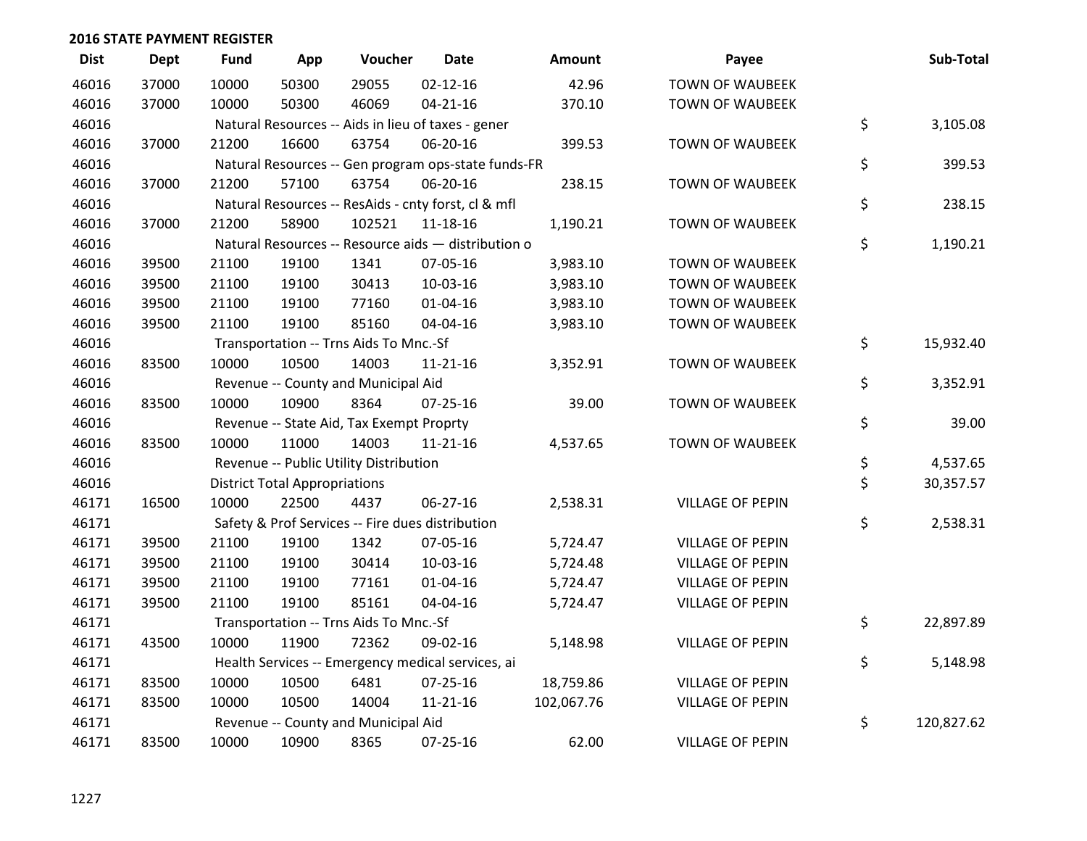| <b>Dist</b> | Dept  | <b>Fund</b> | App                                  | Voucher                                             | <b>Date</b>    | <b>Amount</b> | Payee                   | Sub-Total        |
|-------------|-------|-------------|--------------------------------------|-----------------------------------------------------|----------------|---------------|-------------------------|------------------|
| 46016       | 37000 | 10000       | 50300                                | 29055                                               | $02 - 12 - 16$ | 42.96         | <b>TOWN OF WAUBEEK</b>  |                  |
| 46016       | 37000 | 10000       | 50300                                | 46069                                               | $04 - 21 - 16$ | 370.10        | <b>TOWN OF WAUBEEK</b>  |                  |
| 46016       |       |             |                                      | Natural Resources -- Aids in lieu of taxes - gener  |                |               |                         | \$<br>3,105.08   |
| 46016       | 37000 | 21200       | 16600                                | 63754                                               | 06-20-16       | 399.53        | TOWN OF WAUBEEK         |                  |
| 46016       |       |             |                                      | Natural Resources -- Gen program ops-state funds-FR |                |               |                         | \$<br>399.53     |
| 46016       | 37000 | 21200       | 57100                                | 63754                                               | 06-20-16       | 238.15        | <b>TOWN OF WAUBEEK</b>  |                  |
| 46016       |       |             |                                      | Natural Resources -- ResAids - cnty forst, cl & mfl |                |               |                         | \$<br>238.15     |
| 46016       | 37000 | 21200       | 58900                                | 102521                                              | 11-18-16       | 1,190.21      | <b>TOWN OF WAUBEEK</b>  |                  |
| 46016       |       |             |                                      | Natural Resources -- Resource aids - distribution o |                |               |                         | \$<br>1,190.21   |
| 46016       | 39500 | 21100       | 19100                                | 1341                                                | 07-05-16       | 3,983.10      | <b>TOWN OF WAUBEEK</b>  |                  |
| 46016       | 39500 | 21100       | 19100                                | 30413                                               | 10-03-16       | 3,983.10      | <b>TOWN OF WAUBEEK</b>  |                  |
| 46016       | 39500 | 21100       | 19100                                | 77160                                               | $01 - 04 - 16$ | 3,983.10      | TOWN OF WAUBEEK         |                  |
| 46016       | 39500 | 21100       | 19100                                | 85160                                               | 04-04-16       | 3,983.10      | TOWN OF WAUBEEK         |                  |
| 46016       |       |             |                                      | Transportation -- Trns Aids To Mnc.-Sf              |                |               |                         | \$<br>15,932.40  |
| 46016       | 83500 | 10000       | 10500                                | 14003                                               | $11 - 21 - 16$ | 3,352.91      | <b>TOWN OF WAUBEEK</b>  |                  |
| 46016       |       |             |                                      | Revenue -- County and Municipal Aid                 |                |               |                         | \$<br>3,352.91   |
| 46016       | 83500 | 10000       | 10900                                | 8364                                                | $07 - 25 - 16$ | 39.00         | TOWN OF WAUBEEK         |                  |
| 46016       |       |             |                                      | Revenue -- State Aid, Tax Exempt Proprty            |                |               |                         | \$<br>39.00      |
| 46016       | 83500 | 10000       | 11000                                | 14003                                               | $11 - 21 - 16$ | 4,537.65      | <b>TOWN OF WAUBEEK</b>  |                  |
| 46016       |       |             |                                      | Revenue -- Public Utility Distribution              |                |               |                         | \$<br>4,537.65   |
| 46016       |       |             | <b>District Total Appropriations</b> |                                                     |                |               |                         | \$<br>30,357.57  |
| 46171       | 16500 | 10000       | 22500                                | 4437                                                | 06-27-16       | 2,538.31      | <b>VILLAGE OF PEPIN</b> |                  |
| 46171       |       |             |                                      | Safety & Prof Services -- Fire dues distribution    |                |               |                         | \$<br>2,538.31   |
| 46171       | 39500 | 21100       | 19100                                | 1342                                                | 07-05-16       | 5,724.47      | <b>VILLAGE OF PEPIN</b> |                  |
| 46171       | 39500 | 21100       | 19100                                | 30414                                               | 10-03-16       | 5,724.48      | <b>VILLAGE OF PEPIN</b> |                  |
| 46171       | 39500 | 21100       | 19100                                | 77161                                               | 01-04-16       | 5,724.47      | <b>VILLAGE OF PEPIN</b> |                  |
| 46171       | 39500 | 21100       | 19100                                | 85161                                               | 04-04-16       | 5,724.47      | <b>VILLAGE OF PEPIN</b> |                  |
| 46171       |       |             |                                      | Transportation -- Trns Aids To Mnc.-Sf              |                |               |                         | \$<br>22,897.89  |
| 46171       | 43500 | 10000       | 11900                                | 72362                                               | 09-02-16       | 5,148.98      | <b>VILLAGE OF PEPIN</b> |                  |
| 46171       |       |             |                                      | Health Services -- Emergency medical services, ai   |                |               |                         | \$<br>5,148.98   |
| 46171       | 83500 | 10000       | 10500                                | 6481                                                | 07-25-16       | 18,759.86     | <b>VILLAGE OF PEPIN</b> |                  |
| 46171       | 83500 | 10000       | 10500                                | 14004                                               | $11 - 21 - 16$ | 102,067.76    | VILLAGE OF PEPIN        |                  |
| 46171       |       |             |                                      | Revenue -- County and Municipal Aid                 |                |               |                         | \$<br>120,827.62 |
| 46171       | 83500 | 10000       | 10900                                | 8365                                                | $07 - 25 - 16$ | 62.00         | <b>VILLAGE OF PEPIN</b> |                  |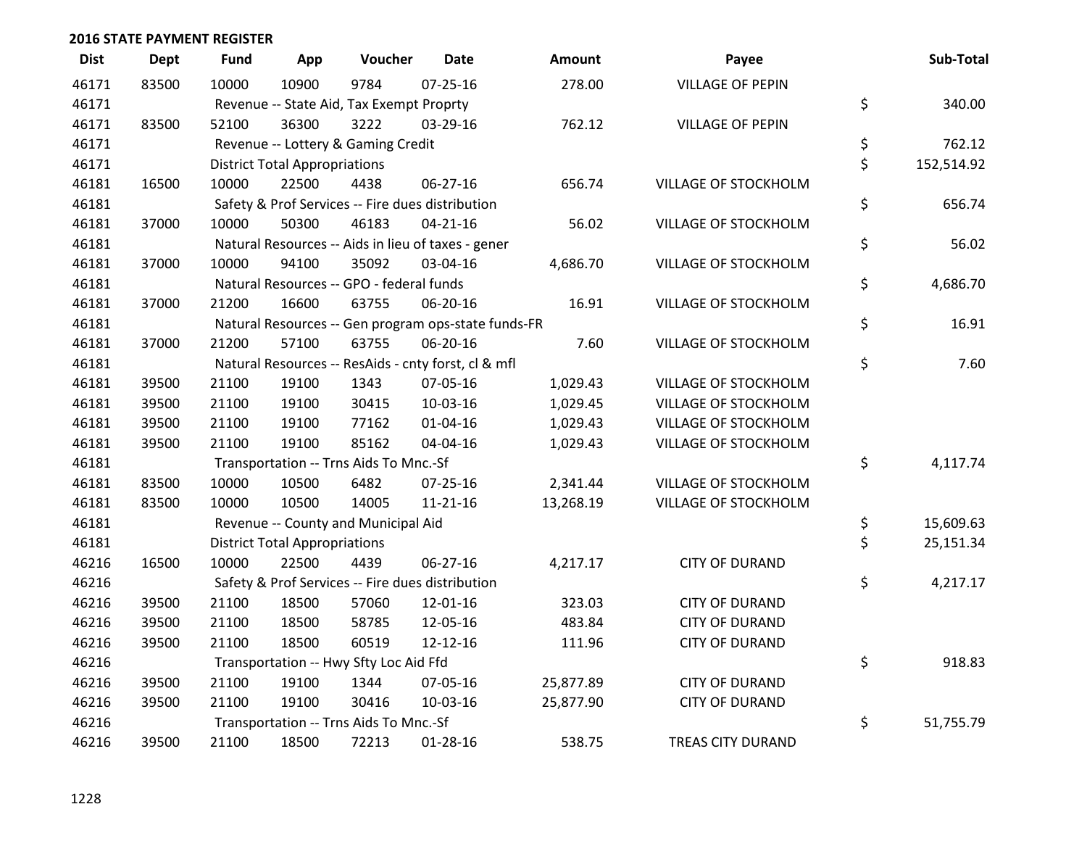| <b>Dist</b> | <b>Dept</b> | <b>Fund</b> | App                                  | Voucher                                             | <b>Date</b>    | Amount    | Payee                   | Sub-Total        |
|-------------|-------------|-------------|--------------------------------------|-----------------------------------------------------|----------------|-----------|-------------------------|------------------|
| 46171       | 83500       | 10000       | 10900                                | 9784                                                | $07 - 25 - 16$ | 278.00    | <b>VILLAGE OF PEPIN</b> |                  |
| 46171       |             |             |                                      | Revenue -- State Aid, Tax Exempt Proprty            |                |           |                         | \$<br>340.00     |
| 46171       | 83500       | 52100       | 36300                                | 3222                                                | 03-29-16       | 762.12    | <b>VILLAGE OF PEPIN</b> |                  |
| 46171       |             |             |                                      | Revenue -- Lottery & Gaming Credit                  |                |           |                         | \$<br>762.12     |
| 46171       |             |             | <b>District Total Appropriations</b> |                                                     |                |           |                         | \$<br>152,514.92 |
| 46181       | 16500       | 10000       | 22500                                | 4438                                                | 06-27-16       | 656.74    | VILLAGE OF STOCKHOLM    |                  |
| 46181       |             |             |                                      | Safety & Prof Services -- Fire dues distribution    |                |           |                         | \$<br>656.74     |
| 46181       | 37000       | 10000       | 50300                                | 46183                                               | $04 - 21 - 16$ | 56.02     | VILLAGE OF STOCKHOLM    |                  |
| 46181       |             |             |                                      | Natural Resources -- Aids in lieu of taxes - gener  |                |           |                         | \$<br>56.02      |
| 46181       | 37000       | 10000       | 94100                                | 35092                                               | 03-04-16       | 4,686.70  | VILLAGE OF STOCKHOLM    |                  |
| 46181       |             |             |                                      | Natural Resources -- GPO - federal funds            |                |           |                         | \$<br>4,686.70   |
| 46181       | 37000       | 21200       | 16600                                | 63755                                               | 06-20-16       | 16.91     | VILLAGE OF STOCKHOLM    |                  |
| 46181       |             |             |                                      | Natural Resources -- Gen program ops-state funds-FR |                |           |                         | \$<br>16.91      |
| 46181       | 37000       | 21200       | 57100                                | 63755                                               | 06-20-16       | 7.60      | VILLAGE OF STOCKHOLM    |                  |
| 46181       |             |             |                                      | Natural Resources -- ResAids - cnty forst, cl & mfl |                |           |                         | \$<br>7.60       |
| 46181       | 39500       | 21100       | 19100                                | 1343                                                | 07-05-16       | 1,029.43  | VILLAGE OF STOCKHOLM    |                  |
| 46181       | 39500       | 21100       | 19100                                | 30415                                               | 10-03-16       | 1,029.45  | VILLAGE OF STOCKHOLM    |                  |
| 46181       | 39500       | 21100       | 19100                                | 77162                                               | $01 - 04 - 16$ | 1,029.43  | VILLAGE OF STOCKHOLM    |                  |
| 46181       | 39500       | 21100       | 19100                                | 85162                                               | 04-04-16       | 1,029.43  | VILLAGE OF STOCKHOLM    |                  |
| 46181       |             |             |                                      | Transportation -- Trns Aids To Mnc.-Sf              |                |           |                         | \$<br>4,117.74   |
| 46181       | 83500       | 10000       | 10500                                | 6482                                                | $07 - 25 - 16$ | 2,341.44  | VILLAGE OF STOCKHOLM    |                  |
| 46181       | 83500       | 10000       | 10500                                | 14005                                               | $11 - 21 - 16$ | 13,268.19 | VILLAGE OF STOCKHOLM    |                  |
| 46181       |             |             |                                      | Revenue -- County and Municipal Aid                 |                |           |                         | \$<br>15,609.63  |
| 46181       |             |             | <b>District Total Appropriations</b> |                                                     |                |           |                         | \$<br>25,151.34  |
| 46216       | 16500       | 10000       | 22500                                | 4439                                                | 06-27-16       | 4,217.17  | <b>CITY OF DURAND</b>   |                  |
| 46216       |             |             |                                      | Safety & Prof Services -- Fire dues distribution    |                |           |                         | \$<br>4,217.17   |
| 46216       | 39500       | 21100       | 18500                                | 57060                                               | 12-01-16       | 323.03    | <b>CITY OF DURAND</b>   |                  |
| 46216       | 39500       | 21100       | 18500                                | 58785                                               | 12-05-16       | 483.84    | <b>CITY OF DURAND</b>   |                  |
| 46216       | 39500       | 21100       | 18500                                | 60519                                               | 12-12-16       | 111.96    | <b>CITY OF DURAND</b>   |                  |
| 46216       |             |             |                                      | Transportation -- Hwy Sfty Loc Aid Ffd              |                |           |                         | \$<br>918.83     |
| 46216       | 39500       | 21100       | 19100                                | 1344                                                | 07-05-16       | 25,877.89 | <b>CITY OF DURAND</b>   |                  |
| 46216       | 39500       | 21100       | 19100                                | 30416                                               | 10-03-16       | 25,877.90 | <b>CITY OF DURAND</b>   |                  |
| 46216       |             |             |                                      | Transportation -- Trns Aids To Mnc.-Sf              |                |           |                         | \$<br>51,755.79  |
| 46216       | 39500       | 21100       | 18500                                | 72213                                               | $01-28-16$     | 538.75    | TREAS CITY DURAND       |                  |